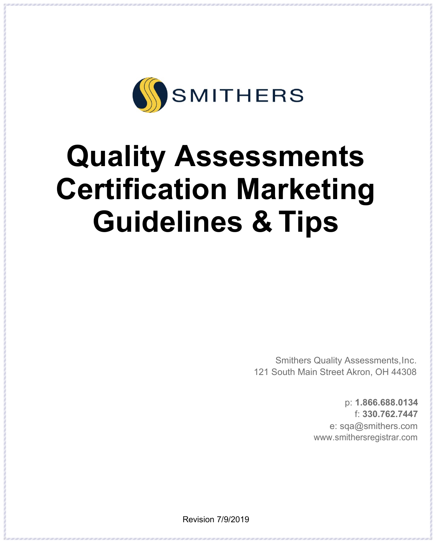

# **Quality Assessments Certification Marketing Guidelines & Tips**

 Smithers Quality Assessments,Inc. 121 South Main Street Akron, OH 44308

> p: **1.866.688.0134** f: **330.762.7447** e: sqa@smithers.com [www.smithersregistrar.com](http://www.smithersregistrar.com/)

Revision 7/9/2019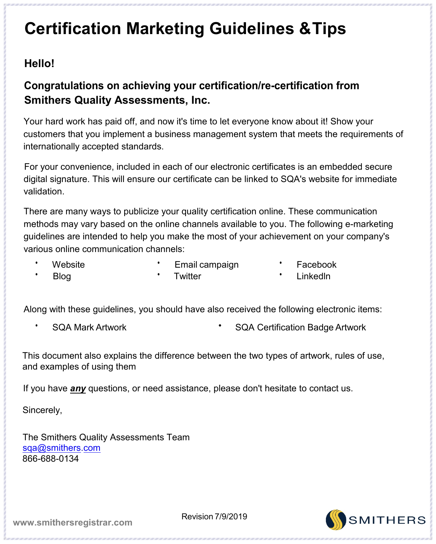#### **Hello!**

#### **Congratulations on achieving your certification/re-certification from Smithers Quality Assessments, Inc.**

Your hard work has paid off, and now it's time to let everyone know about it! Show your customers that you implement a business management system that meets the requirements of internationally accepted standards.

For your convenience, included in each of our electronic certificates is an embedded secure digital signature. This will ensure our certificate can be linked to SQA's website for immediate validation.

There are many ways to publicize your quality certification online. These communication methods may vary based on the online channels available to you. The following e-marketing guidelines are intended to help you make the most of your achievement on your company's various online communication channels:

Website

- Email campaign
- Facebook

• Blog

**Twitter** 

• Linkedln

Along with these guidelines, you should have also received the following electronic items:

- 
- SQA Mark Artwork SQA Certification Badge Artwork

This document also explains the difference between the two types of artwork, rules of use, and examples of using them

If you have *any* questions, or need assistance, please don't hesitate to contact us.

Sincerely,

The Smithers Quality Assessments Team [sqa@smithers.com](mailto:sqa@smithers.com) 866-688-0134

SMITHERS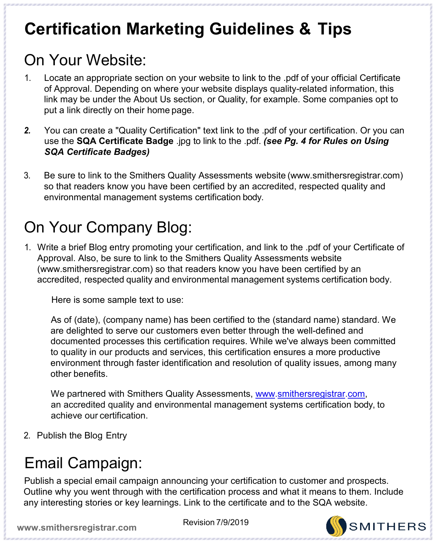#### On Your Website:

- 1. Locate an appropriate section on your website to link to the .pdf of your official Certificate of Approval. Depending on where your website displays quality-related information, this link may be under the About Us section, or Quality, for example. Some companies opt to put a link directly on their home page.
- *2.* You can create a "Quality Certification" text link to the .pdf of your certification. Or you can use the **SQA Certificate Badge** .jpg to link to the .pdf. *(see Pg. 4 for Rules on Using SQA Certificate Badges)*
- 3. Be sure to link to the Smithers Quality Assessments website (www.smithersregistrar.com) so that readers know you have been certified by an accredited, respected quality and environmental management systems certification body.

#### On Your Company Blog:

1. Write a brief Blog entry promoting your certification, and link to the .pdf of your Certificate of Approval. Also, be sure to link to the Smithers Quality Assessments website (www.smithersregistrar.com) so that readers know you have been certified by an accredited, respected quality and environmental management systems certification body.

Here is some sample text to use:

As of (date), (company name) has been certified to the (standard name) standard. We are delighted to serve our customers even better through the well-defined and documented processes this certification requires. While we've always been committed to quality in our products and services, this certification ensures a more productive environment through faster identification and resolution of quality issues, among many other benefits.

We partnered with Smithers Quality Assessments, [www.smithersregistrar.com,](http://www.smithersregistrar.com/) an accredited quality and environmental management systems certification body, to achieve our certification.

2. Publish the Blog Entry

#### Email Campaign:

Publish a special email campaign announcing your certification to customer and prospects. Outline why you went through with the certification process and what it means to them. Include any interesting stories or key learnings. Link to the certificate and to the SQA website.



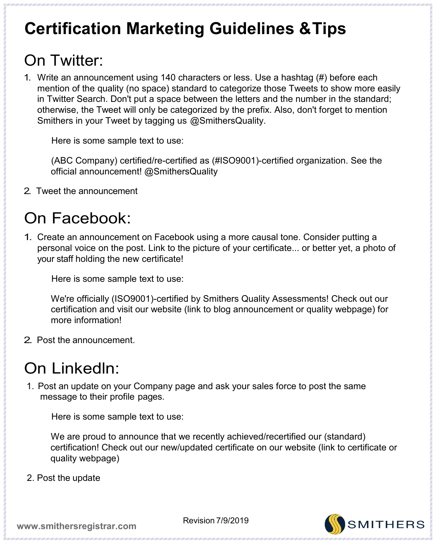#### On Twitter:

1. Write an announcement using 140 characters or less. Use a hashtag (#) before each mention of the quality (no space) standard to categorize those Tweets to show more easily in Twitter Search. Don't put a space between the letters and the number in the standard; otherwise, the Tweet will only be categorized by the prefix. Also, don't forget to mention Smithers in your Tweet by tagging us @SmithersQuality.

Here is some sample text to use:

(ABC Company) certified/re-certified as (#ISO9001)-certified organization. See the official announcement! @SmithersQuality

2. Tweet the announcement

#### On Facebook:

1. Create an announcement on Facebook using a more causal tone. Consider putting a personal voice on the post. Link to the picture of your certificate... or better yet, a photo of your staff holding the new certificate!

Here is some sample text to use:

We're officially (ISO9001)-certified by Smithers Quality Assessments! Check out our certification and visit our website (link to blog announcement or quality webpage) for more information!

2. Post the announcement.

#### On Linkedln:

1. Post an update on your Company page and ask your sales force to post the same message to their profile pages.

Here is some sample text to use:

We are proud to announce that we recently achieved/recertified our (standard) certification! Check out our new/updated certificate on our website (link to certificate or quality webpage)

2. Post the update

**SMITHERS**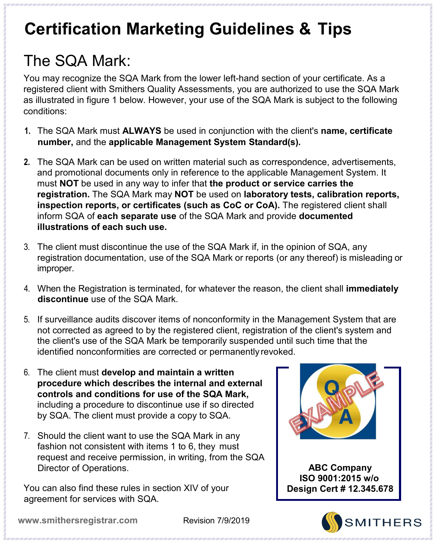# The SQA Mark:

You may recognize the SQA Mark from the lower left-hand section of your certificate. As a registered client with Smithers Quality Assessments, you are authorized to use the SQA Mark as illustrated in figure 1 below. However, your use of the SQA Mark is subject to the following conditions:

- **1.** The SQA Mark must **ALWAYS** be used in conjunction with the client's **name, certificate number,** and the **applicable Management System Standard(s).**
- **2.** The SQA Mark can be used on written material such as correspondence, advertisements, and promotional documents only in reference to the applicable Management System. It must **NOT** be used in any way to infer that **the product or service carries the registration.** The SQA Mark may **NOT** be used on **laboratory tests, calibration reports, inspection reports, or certificates (such as CoC or CoA).** The registered client shall inform SQA of **each separate use** of the SQA Mark and provide **documented illustrations of each such use.**
- 3. The client must discontinue the use of the SQA Mark if, in the opinion of SQA, any registration documentation, use of the SQA Mark or reports (or any thereof) is misleading or improper.
- 4. When the Registration is terminated, for whatever the reason, the client shall **immediately discontinue** use of the SQA Mark.
- 5. If surveillance audits discover items of nonconformity in the Management System that are not corrected as agreed to by the registered client, registration of the client's system and the client's use of the SQA Mark be temporarily suspended until such time that the identified nonconformities are corrected or permanently revoked.
- 6. The client must **develop and maintain a written procedure which describes the internal and external controls and conditions for use of the SQA Mark,**  including a procedure to discontinue use if so directed by SQA. The client must provide a copy to SQA.
- 7. Should the client want to use the SQA Mark in any fashion not consistent with items 1 to 6, they must request and receive permission, in writing, from the SQA Director of Operations.

You can also find these rules in section XIV of your agreement for services with SQA.



 **ABC Company ISO 9001:2015 w/o Design Cert # 12.345.678**

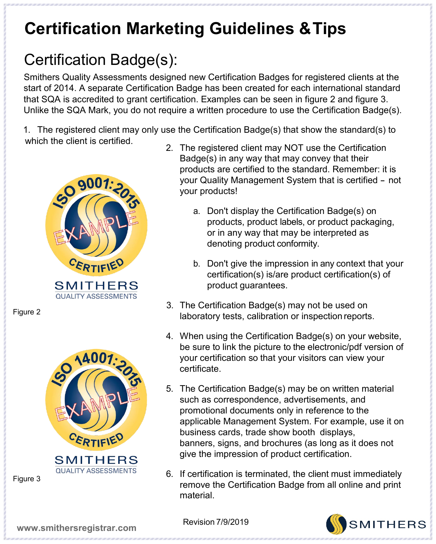## Certification Badge(s):

Smithers Quality Assessments designed new Certification Badges for registered clients at the start of 2014. A separate Certification Badge has been created for each international standard that SQA is accredited to grant certification. Examples can be seen in figure 2 and figure 3. Unlike the SQA Mark, you do not require a written procedure to use the Certification Badge(s).

1. The registered client may only use the Certification Badge(s) that show the standard(s) to which the client is certified.



Figure 2



Figure 3

- 2. The registered client may NOT use the Certification Badge(s) in any way that may convey that their products are certified to the standard. Remember: it is your Quality Management System that is certified - not your products!
	- a. Don't display the Certification Badge(s) on products, product labels, or product packaging, or in any way that may be interpreted as denoting product conformity.
	- b. Don't give the impression in any context that your certification(s) is/are product certification(s) of product guarantees.
- 3. The Certification Badge(s) may not be used on laboratory tests, calibration or inspection reports.
- 4. When using the Certification Badge(s) on your website, be sure to link the picture to the electronic/pdf version of your certification so that your visitors can view your certificate.
- 5. The Certification Badge(s) may be on written material such as correspondence, advertisements, and promotional documents only in reference to the applicable Management System. For example, use it on business cards, trade show booth displays, banners, signs, and brochures (as long as it does not give the impression of product certification.
- 6. If certification is terminated, the client must immediately remove the Certification Badge from all online and print material.

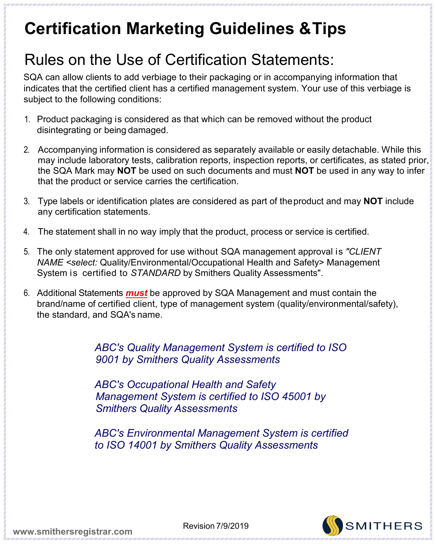#### Rules on the Use of Certification Statements:

SQA can allow clients to add verbiage to their packaging or in accompanying information that indicates that the certified client has a certified management system. Your use of this verbiage is subject to the following conditions:

- 1. Product packaging is considered as that which can be removed without the product disintegrating or being damaged.
- 2. Accompanying information is considered as separately available or easily detachable. While this may include laboratory tests, calibration reports, inspection reports, or certificates, as stated prior, the SQA Mark may **NOT** be used on such documents and must **NOT** be used in any way to infer that the product or service carries the certification.
- 3. Type labels or identification plates are considered as part of theproduct and may **NOT** include any certification statements.
- 4. The statement shall in no way imply that the product, process or service is certified.
- 5. The only statement approved for use without SQA management approval is *"CLIENT NAME <select:* Quality/Environmental/Occupational Health and Safety> Management System is certified to *STANDARD* by Smithers Quality Assessments".
- 6. Additional Statements *must* be approved by SQA Management and must contain the brand/name of certified client, type of management system (quality/environmental/safety), the standard, and SQA's name.

*ABC's Quality Management System is certified to ISO 9001 by Smithers Quality Assessments*

*ABC's Occupational Health and Safety Management System is certified to ISO 45001 by Smithers Quality Assessments*

*ABC's Environmental Management System is certified to ISO 14001 by Smithers Quality Assessments*

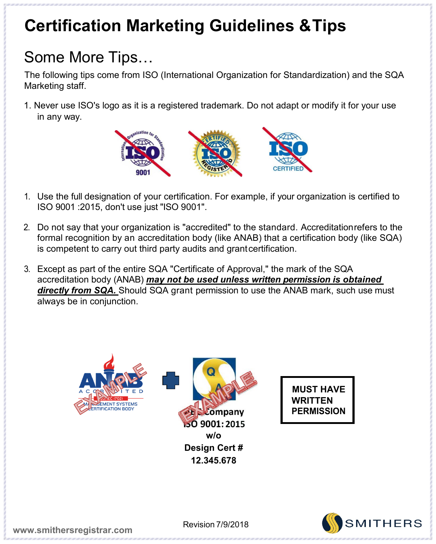## Some More Tips…

The following tips come from ISO (International Organization for Standardization) and the SQA Marketing staff.

1. Never use ISO's logo as it is a registered trademark. Do not adapt or modify it for your use in any way.



- 1. Use the full designation of your certification. For example, if your organization is certified to ISO 9001 :2015, don't use just "ISO 9001".
- 2. Do not say that your organization is "accredited" to the standard. Accreditationrefers to the formal recognition by an accreditation body (like ANAB) that a certification body (like SQA) is competent to carry out third party audits and grantcertification.
- 3. Except as part of the entire SQA "Certificate of Approval," the mark of the SQA accreditation body (ANAB) *may not be used unless written permission is obtained directly from SQA.* Should SQA grant permission to use the ANAB mark, such use must always be in conjunction.



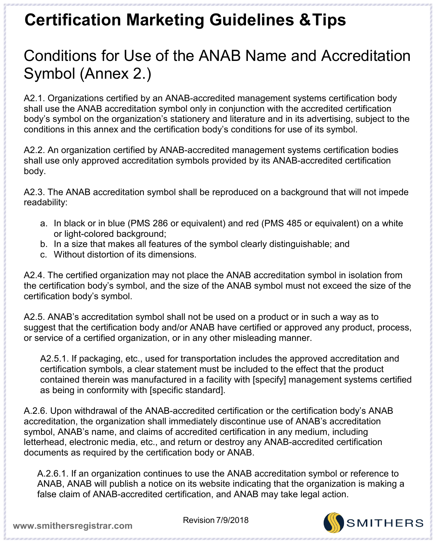#### Conditions for Use of the ANAB Name and Accreditation Symbol (Annex 2.)

A2.1. Organizations certified by an ANAB-accredited management systems certification body shall use the ANAB accreditation symbol only in conjunction with the accredited certification body's symbol on the organization's stationery and literature and in its advertising, subject to the conditions in this annex and the certification body's conditions for use of its symbol.

A2.2. An organization certified by ANAB-accredited management systems certification bodies shall use only approved accreditation symbols provided by its ANAB-accredited certification body.

A2.3. The ANAB accreditation symbol shall be reproduced on a background that will not impede readability:

- a. In black or in blue (PMS 286 or equivalent) and red (PMS 485 or equivalent) on a white or light-colored background;
- b. In a size that makes all features of the symbol clearly distinguishable; and
- c. Without distortion of its dimensions.

A2.4. The certified organization may not place the ANAB accreditation symbol in isolation from the certification body's symbol, and the size of the ANAB symbol must not exceed the size of the certification body's symbol.

A2.5. ANAB's accreditation symbol shall not be used on a product or in such a way as to suggest that the certification body and/or ANAB have certified or approved any product, process, or service of a certified organization, or in any other misleading manner.

A2.5.1. If packaging, etc., used for transportation includes the approved accreditation and certification symbols, a clear statement must be included to the effect that the product contained therein was manufactured in a facility with [specify] management systems certified as being in conformity with [specific standard].

A.2.6. Upon withdrawal of the ANAB-accredited certification or the certification body's ANAB accreditation, the organization shall immediately discontinue use of ANAB's accreditation symbol, ANAB's name, and claims of accredited certification in any medium, including letterhead, electronic media, etc., and return or destroy any ANAB-accredited certification documents as required by the certification body or ANAB.

A.2.6.1. If an organization continues to use the ANAB accreditation symbol or reference to ANAB, ANAB will publish a notice on its website indicating that the organization is making a false claim of ANAB-accredited certification, and ANAB may take legal action.